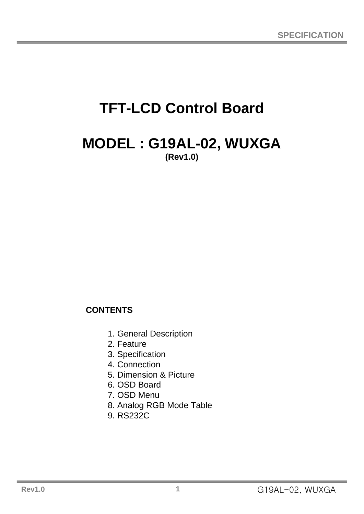# **TFT-LCD Control Board**

## **MODEL : G19AL-02, WUXGA (Rev1.0)**

## **CONTENTS**

- 1. General Description
- 2. Feature
- 3. Specification
- 4. Connection
- 5. Dimension & Picture
- 6. OSD Board
- 7. OSD Menu
- 8. Analog RGB Mode Table
- 9. RS232C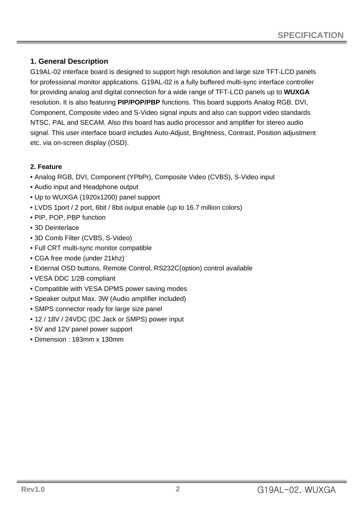#### **1. General Description**

G19AL-02 interface board is designed to support high resolution and large size TFT-LCD panels for professional monitor applications. G19AL-02 is a fully buffered multi-sync interface controller for providing analog and digital connection for a wide range of TFT-LCD panels up to **WUXGA** resolution. It is also featuring **PIP/POP/PBP** functions. This board supports Analog RGB, DVI, Component, Composite video and S-Video signal inputs and also can support video standards NTSC, PAL and SECAM. Also this board has audio processor and amplifier for stereo audio signal. This user interface board includes Auto-Adjust, Brightness, Contrast, Position adjustment etc. via on-screen display (OSD).

#### **2. Feature**

- Analog RGB, DVI, Component (YPbPr), Composite Video (CVBS), S-Video input
- Audio input and Headphone output
- Up to WUXGA (1920x1200) panel support
- LVDS 1port / 2 port, 6bit / 8bit output enable (up to 16.7 million colors)
- PIP, POP, PBP function
- 3D Deinterlace
- 3D Comb Filter (CVBS, S-Video)
- Full CRT multi-sync monitor compatible
- CGA free mode (under 21khz)
- External OSD buttons, Remote Control, RS232C(option) control available
- VESA DDC 1/2B compliant
- Compatible with VESA DPMS power saving modes
- Speaker output Max. 3W (Audio amplifier included)
- SMPS connector ready for large size panel
- 12 / 18V / 24VDC (DC Jack or SMPS) power input
- 5V and 12V panel power support
- Dimension : 183mm x 130mm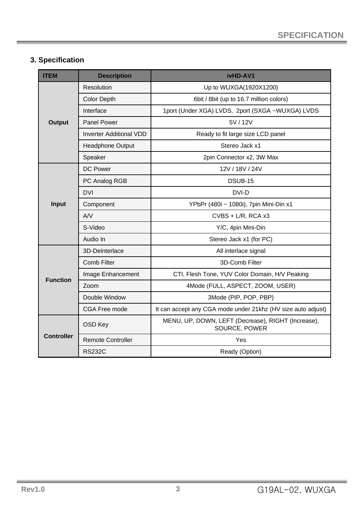## **3. Specification**

| <b>ITEM</b>       | <b>Description</b>             | ivHD-AV1                                                            |
|-------------------|--------------------------------|---------------------------------------------------------------------|
|                   | Resolution                     | Up to WUXGA(1920X1200)                                              |
|                   | <b>Color Depth</b>             | 6bit / 8bit (up to 16.7 million colors)                             |
|                   | Interface                      | 1port (Under XGA) LVDS, 2port (SXGA ~WUXGA) LVDS                    |
| <b>Output</b>     | <b>Panel Power</b>             | 5V / 12V                                                            |
|                   | <b>Inverter Additional VDD</b> | Ready to fit large size LCD panel                                   |
|                   | Headphone Output               | Stereo Jack x1                                                      |
|                   | Speaker                        | 2pin Connector x2, 3W Max                                           |
|                   | <b>DC Power</b>                | 12V / 18V / 24V                                                     |
|                   | PC Analog RGB                  | DSUB-15                                                             |
|                   | <b>DVI</b>                     | DVI-D                                                               |
| Input             | Component                      | YPbPr (480i ~ 1080i), 7pin Mini-Din x1                              |
|                   | AVV                            | CVBS + L/R, RCA x3                                                  |
|                   | S-Video                        | Y/C, 4pin Mini-Din                                                  |
|                   | Audio In                       | Stereo Jack x1 (for PC)                                             |
|                   | 3D-Deinterlace                 | All interlace signal                                                |
|                   | <b>Comb Filter</b>             | 3D-Comb Filter                                                      |
|                   | Image Enhancement              | CTI, Flesh Tone, YUV Color Domain, H/V Peaking                      |
| <b>Function</b>   | Zoom                           | 4Mode (FULL, ASPECT, ZOOM, USER)                                    |
|                   | Double Window                  | 3Mode (PIP, POP, PBP)                                               |
|                   | CGA Free mode                  | It can accept any CGA mode under 21khz (HV size auto adjust)        |
|                   | OSD Key                        | MENU, UP, DOWN, LEFT (Decrease), RIGHT (Increase),<br>SOURCE, POWER |
| <b>Controller</b> | <b>Remote Controller</b>       | Yes                                                                 |
|                   | <b>RS232C</b>                  | Ready (Option)                                                      |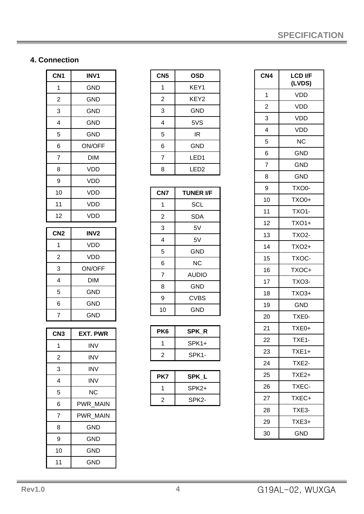## **4. Connection**

| CN <sub>1</sub> | <b>INV1</b>     |
|-----------------|-----------------|
| 1               | <b>GND</b>      |
| $\overline{c}$  | <b>GND</b>      |
| 3               | <b>GND</b>      |
| 4               | <b>GND</b>      |
| 5               | <b>GND</b>      |
| 6               | ON/OFF          |
| $\overline{7}$  | <b>DIM</b>      |
| 8               | <b>VDD</b>      |
| 9               | <b>VDD</b>      |
| 10              | <b>VDD</b>      |
| 11              | <b>VDD</b>      |
| 12              | <b>VDD</b>      |
| CN <sub>2</sub> |                 |
|                 | <b>INV2</b>     |
| 1               | <b>VDD</b>      |
| $\overline{c}$  | <b>VDD</b>      |
| 3               | ON/OFF          |
| 4               | DIM             |
| 5               | <b>GND</b>      |
| 6               | <b>GND</b>      |
| $\overline{7}$  | <b>GND</b>      |
|                 |                 |
| CN <sub>3</sub> | <b>EXT. PWR</b> |
| 1               | INV             |
| $\overline{c}$  | <b>INV</b>      |
| 3               | <b>INV</b>      |
| 4               | INV             |
| 5               | <b>NC</b>       |
| 6               | PWR MAIN        |
| 7               | PWR_MAIN        |

8 GND

9 GND 10 GND 11 GND

| CN <sub>5</sub> | OSD  |
|-----------------|------|
| 1               | KEY1 |
| $\overline{2}$  | KEY2 |
| 3               | GND  |
| 4               | 5VS  |
| 5               | ΙR   |
| 6               | GND  |
| 7               | LED1 |
| 8               | LED2 |

| CN7            | <b>TUNER I/F</b> |
|----------------|------------------|
| 1              | <b>SCL</b>       |
| 2              | <b>SDA</b>       |
| 3              | 5V               |
| 4              | 5V               |
| 5              | GND              |
| 6              | <b>NC</b>        |
| $\overline{7}$ | <b>AUDIO</b>     |
| 8              | GND              |
| 9              | CVBS             |
| 10             | GND              |

| PK <sub>6</sub> | <b>SPK R</b>       |
|-----------------|--------------------|
|                 | $SPK1+$            |
| 2               | SPK <sub>1</sub> - |

| PK7 | SPK L   |
|-----|---------|
|     | $SPK2+$ |
| 2   | SPK2-   |

| CN4            | <b>LCD I/F</b><br>(LVDS) |
|----------------|--------------------------|
| 1              | VDD                      |
| $\overline{c}$ | <b>VDD</b>               |
| 3              | <b>VDD</b>               |
| 4              | <b>VDD</b>               |
| 5              | ΝC                       |
| 6              | <b>GND</b>               |
| 7              | <b>GND</b>               |
| 8              | <b>GND</b>               |
| 9              | TXO0-                    |
| 10             | TXO0+                    |
| 11             | TXO1-                    |
| 12             | <b>TXO1+</b>             |
| 13             | <b>TXO2-</b>             |
| 14             | TXO2+                    |
| 15             | TXOC-                    |
| 16             | TXOC+                    |
| 17             | TXO3-                    |
| 18             | TXO3+                    |
| 19             | <b>GND</b>               |
| 20             | TXE0-                    |
| 21             | TXE0+                    |
| <u>22</u>      | TXE1-                    |
| 23             | TXE1+                    |
| 24             | TXE2-                    |
| 25             | TXE2+                    |
| 26             | TXEC-                    |
| 27             | TXEC+                    |
| 28             | TXE3-                    |
| 29             | TXE3+                    |
| 30             | <b>GND</b>               |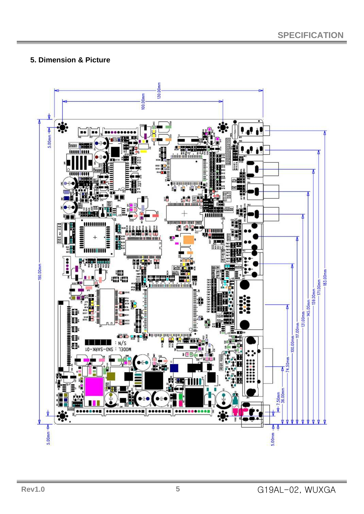#### **5. Dimension & Picture**

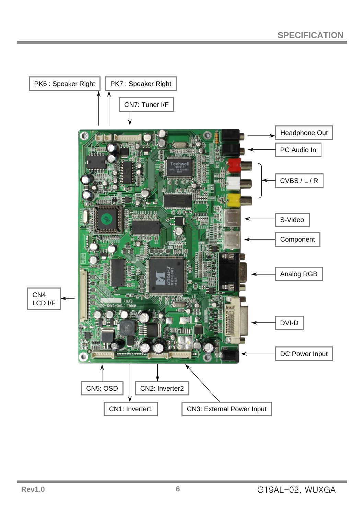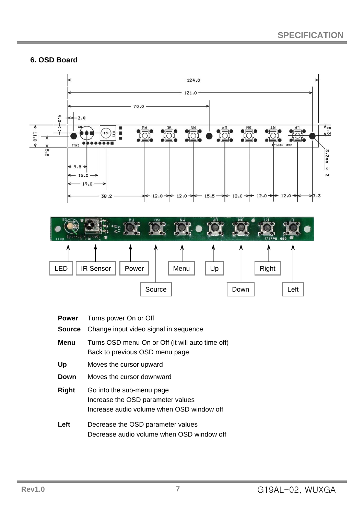#### **6. OSD Board**



- **Power** Turns power On or Off
- **Source** Change input video signal in sequence
- **Menu** Turns OSD menu On or Off (it will auto time off) Back to previous OSD menu page
- **Up** Moves the cursor upward
- **Down** Moves the cursor downward
- **Right** Go into the sub-menu page Increase the OSD parameter values Increase audio volume when OSD window off
- **Left** Decrease the OSD parameter values Decrease audio volume when OSD window off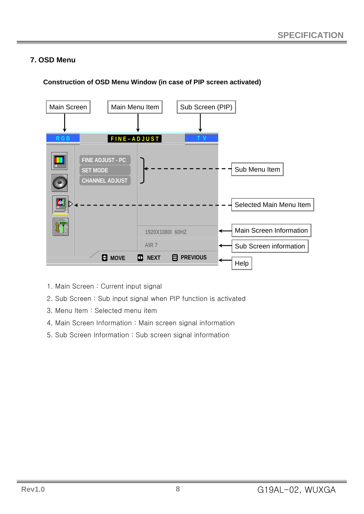## **7. OSD Menu**



#### **Construction of OSD Menu Window (in case of PIP screen activated)**

- 1. Main Screen : Current input signal
- 2. Sub Screen : Sub input signal when PIP function is activated
- 3. Menu Item : Selected menu item
- 4. Main Screen Information : Main screen signal information
- 5. Sub Screen Information : Sub screen signal information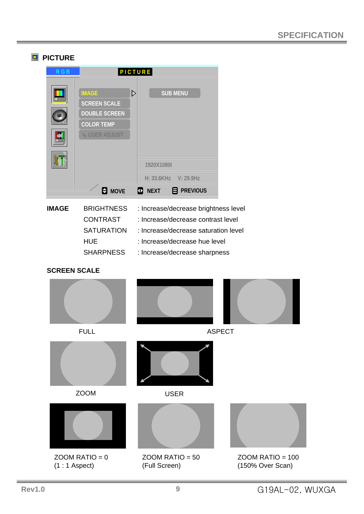## **PICTURE P I C T U R E R G B IMAGE**  $\triangleright$ **SUB MENU SCREEN SCALE DOUBLE SCREEN COLOR TEMP USER ADJUST 1920X1080I H: 33.6KHz V: 29.9Hz MOVE NEXT PREVIOUS IMAGE** BRIGHTNESS : Increase/decrease brightness level **BRIGHTNESS** CONTRAST : Increase/decrease contrast level SATURATION : Increase/decrease saturation level HUE : Increase/decrease hue level SHARPNESS : Increase/decrease sharpness **SCREEN SCALE** FULL ASPECT ZOOM USER  $ZOOM$  RATIO = 0  $ZOOM$  RATIO = 50  $ZOOM$  RATIO = 100 (1 : 1 Aspect) (Full Screen) (150% Over Scan)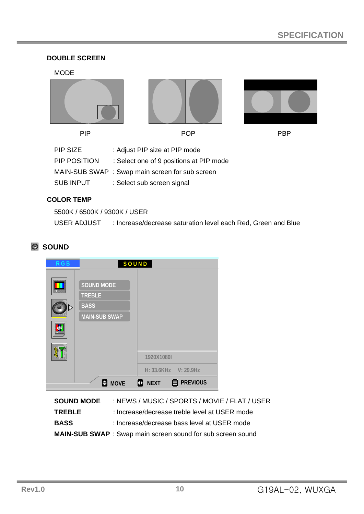#### **DOUBLE SCREEN**

#### MODE

| <b>PIP</b>        | <b>POP</b>                                      | <b>PBP</b> |
|-------------------|-------------------------------------------------|------------|
| PIP SIZE          | : Adjust PIP size at PIP mode                   |            |
| PIP POSITION      | : Select one of 9 positions at PIP mode         |            |
|                   | MAIN-SUB SWAP : Swap main screen for sub screen |            |
| <b>SUB INPUT</b>  | : Select sub screen signal                      |            |
| <b>COLOR TEMP</b> |                                                 |            |

## 5500K / 6500K / 9300K / USER USER ADJUST : Increase/decrease saturation level each Red, Green and Blue

## **SOUND**

| R G B | SOUND                                                                     |
|-------|---------------------------------------------------------------------------|
|       | <b>SOUND MODE</b><br><b>TREBLE</b><br><b>BASS</b><br><b>MAIN-SUB SWAP</b> |
|       | 1920X1080I                                                                |
|       | H: 33.6KHz V: 29.9Hz                                                      |
|       | <b>PREVIOUS</b><br>е<br><b>MOVE</b><br><b>NEXT</b><br>D                   |

| <b>SOUND MODE</b> | : NEWS / MUSIC / SPORTS / MOVIE / FLAT / USER              |
|-------------------|------------------------------------------------------------|
| <b>TREBLE</b>     | : Increase/decrease treble level at USER mode              |
| <b>BASS</b>       | : Increase/decrease bass level at USER mode                |
|                   | MAIN-SUB SWAP: Swap main screen sound for sub screen sound |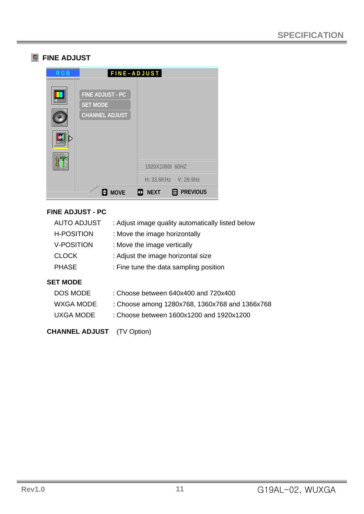## **FINE ADJUST**

| <b>RGB</b> | FINE-ADJUST                                                  |                                     |
|------------|--------------------------------------------------------------|-------------------------------------|
|            | FINE ADJUST - PC<br><b>SET MODE</b><br><b>CHANNEL ADJUST</b> |                                     |
|            |                                                              | 1920X1080I 60HZ                     |
|            |                                                              | $H: 33.6KHz$ V: 29.9Hz              |
|            | е<br><b>MOVE</b><br>Ф                                        | <b>PREVIOUS</b><br>曰<br><b>NEXT</b> |

#### **FINE ADJUST - PC**

| <b>AUTO ADJUST</b> | : Adjust image quality automatically listed below |
|--------------------|---------------------------------------------------|
| <b>H-POSITION</b>  | : Move the image horizontally                     |
| <b>V-POSITION</b>  | : Move the image vertically                       |
| <b>CLOCK</b>       | : Adjust the image horizontal size                |
| <b>PHASE</b>       | : Fine tune the data sampling position            |
|                    |                                                   |

#### **SET MODE**

| DOS MODE  | : Choose between 640x400 and 720x400           |
|-----------|------------------------------------------------|
| WXGA MODE | : Choose among 1280x768, 1360x768 and 1366x768 |
| UXGA MODE | : Choose between 1600x1200 and 1920x1200       |

### **CHANNEL ADJUST** (TV Option)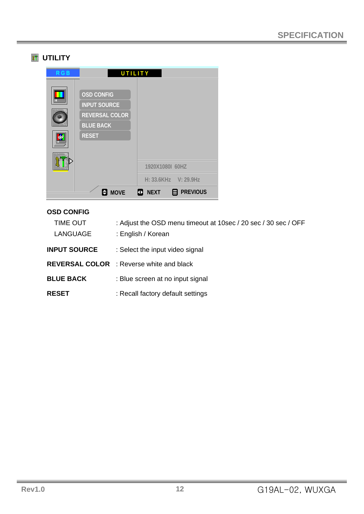## **UTILITY**

| R G B | UTILITY                                                                                               |                                     |
|-------|-------------------------------------------------------------------------------------------------------|-------------------------------------|
|       | <b>OSD CONFIG</b><br><b>INPUT SOURCE</b><br><b>REVERSAL COLOR</b><br><b>BLUE BACK</b><br><b>RESET</b> |                                     |
|       |                                                                                                       | 1920X1080I 60HZ                     |
|       |                                                                                                       | H: 33.6KHz V: 29.9Hz                |
|       | <b>MOVE</b>                                                                                           | <b>PREVIOUS</b><br>目<br><b>NEXT</b> |

#### **OSD CONFIG**

| : Adjust the OSD menu timeout at 10sec / 20 sec / 30 sec / OFF<br>: English / Korean |
|--------------------------------------------------------------------------------------|
| : Select the input video signal                                                      |
| <b>REVERSAL COLOR</b> : Reverse white and black                                      |
| : Blue screen at no input signal                                                     |
| : Recall factory default settings                                                    |
|                                                                                      |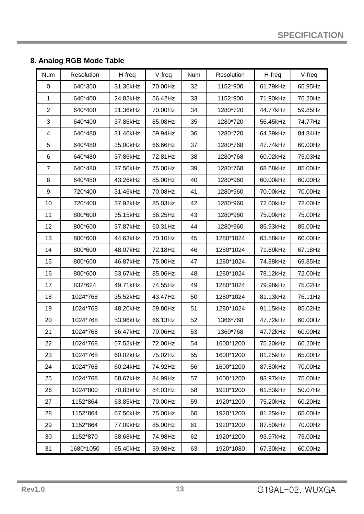## **8. Analog RGB Mode Table**

| <b>Num</b>              | Resolution | H-freq   | V-freq  | <b>Num</b> | Resolution | H-freq   | V-freq  |
|-------------------------|------------|----------|---------|------------|------------|----------|---------|
| $\pmb{0}$               | 640*350    | 31.36kHz | 70.00Hz | 32         | 1152*900   | 61.79kHz | 65.95Hz |
| 1                       | 640*400    | 24.82kHz | 56.42Hz | 33         | 1152*900   | 71.90kHz | 76.20Hz |
| $\overline{2}$          | 640*400    | 31.36kHz | 70.00Hz | 34         | 1280*720   | 44.77kHz | 59.85Hz |
| 3                       | 640*400    | 37.86kHz | 85.08Hz | 35         | 1280*720   | 56.45kHz | 74.77Hz |
| $\overline{\mathbf{4}}$ | 640*480    | 31.46kHz | 59.94Hz | 36         | 1280*720   | 64.39kHz | 84.84Hz |
| 5                       | 640*480    | 35.00kHz | 66.66Hz | 37         | 1280*768   | 47.74kHz | 60.00Hz |
| 6                       | 640*480    | 37.86kHz | 72.81Hz | 38         | 1280*768   | 60.02kHz | 75.03Hz |
| $\overline{7}$          | 640*480    | 37.50kHz | 75.00Hz | 39         | 1280*768   | 68.68kHz | 85.00Hz |
| 8                       | 640*480    | 43.26kHz | 85.00Hz | 40         | 1280*960   | 60.00kHz | 60.00Hz |
| 9                       | 720*400    | 31.46kHz | 70.08Hz | 41         | 1280*960   | 70.00kHz | 70.00Hz |
| 10                      | 720*400    | 37.92kHz | 85.03Hz | 42         | 1280*960   | 72.00kHz | 72.00Hz |
| 11                      | 800*600    | 35.15kHz | 56.25Hz | 43         | 1280*960   | 75.00kHz | 75.00Hz |
| 12                      | 800*600    | 37.87kHz | 60.31Hz | 44         | 1280*960   | 85.93kHz | 85.00Hz |
| 13                      | 800*600    | 44.63kHz | 70.10Hz | 45         | 1280*1024  | 63.58kHz | 60.00Hz |
| 14                      | 800*600    | 48.07kHz | 72.18Hz | 46         | 1280*1024  | 71.69kHz | 67.18Hz |
| 15                      | 800*600    | 46.87kHz | 75.00Hz | 47         | 1280*1024  | 74.88kHz | 69.85Hz |
| 16                      | 800*600    | 53.67kHz | 85.06Hz | 48         | 1280*1024  | 78.12kHz | 72.00Hz |
| 17                      | 832*624    | 49.71kHz | 74.55Hz | 49         | 1280*1024  | 79.98kHz | 75.02Hz |
| 18                      | 1024*768   | 35.52kHz | 43.47Hz | 50         | 1280*1024  | 81.13kHz | 76.11Hz |
| 19                      | 1024*768   | 48.20kHz | 59.80Hz | 51         | 1280*1024  | 91.15kHz | 85.02Hz |
| 20                      | 1024*768   | 53.96kHz | 66.13Hz | 52         | 1366*768   | 47.72kHz | 60.00Hz |
| 21                      | 1024*768   | 56.47kHz | 70.06Hz | 53         | 1360*768   | 47.72kHz | 60.00Hz |
| 22                      | 1024*768   | 57.52kHz | 72.00Hz | 54         | 1600*1200  | 75.20kHz | 60.20Hz |
| 23                      | 1024*768   | 60.02kHz | 75.02Hz | 55         | 1600*1200  | 81.25kHz | 65.00Hz |
| 24                      | 1024*768   | 60.24kHz | 74.92Hz | 56         | 1600*1200  | 87.50kHz | 70.00Hz |
| 25                      | 1024*768   | 68.67kHz | 84.99Hz | 57         | 1600*1200  | 93.97kHz | 75.00Hz |
| 26                      | 1024*800   | 70.83kHz | 84.03Hz | 58         | 1920*1200  | 61.83kHz | 50.07Hz |
| 27                      | 1152*864   | 63.85kHz | 70.00Hz | 59         | 1920*1200  | 75.20kHz | 60.20Hz |
| 28                      | 1152*864   | 67.50kHz | 75.00Hz | 60         | 1920*1200  | 81.25kHz | 65.00Hz |
| 29                      | 1152*864   | 77.09kHz | 85.00Hz | 61         | 1920*1200  | 87.50kHz | 70.00Hz |
| 30                      | 1152*870   | 68.68kHz | 74.98Hz | 62         | 1920*1200  | 93.97kHz | 75.00Hz |
| 31                      | 1680*1050  | 65.40kHz | 59.98Hz | 63         | 1920*1080  | 67.50kHz | 60.00Hz |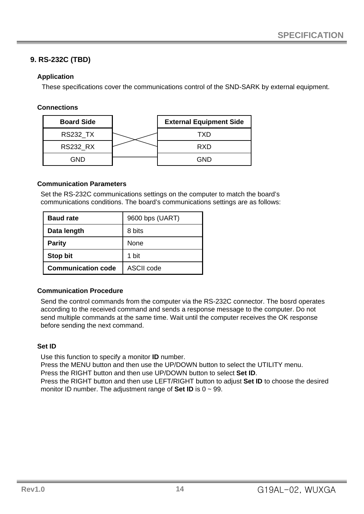## **9. RS-232C (TBD)**

#### **Application**

These specifications cover the communications control of the SND-SARK by external equipment.

#### **Connections**

| <b>Board Side</b> | <b>External Equipment Side</b> |
|-------------------|--------------------------------|
| <b>RS232_TX</b>   | TXD                            |
| <b>RS232 RX</b>   | <b>RXD</b>                     |
| GND               | GND                            |

#### **Communication Parameters**

Set the RS-232C communications settings on the computer to match the board's communications conditions. The board's communications settings are as follows:

| <b>Baud rate</b>          | 9600 bps (UART) |
|---------------------------|-----------------|
| Data length               | 8 bits          |
| <b>Parity</b>             | None            |
| <b>Stop bit</b>           | 1 bit           |
| <b>Communication code</b> | ASCII code      |

#### **Communication Procedure**

Send the control commands from the computer via the RS-232C connector. The bosrd operates according to the received command and sends a response message to the computer. Do not send multiple commands at the same time. Wait until the computer receives the OK response before sending the next command.

#### **Set ID**

Use this function to specify a monitor **ID** number.

Press the MENU button and then use the UP/DOWN button to select the UTILITY menu.

Press the RIGHT button and then use UP/DOWN button to select **Set ID**.

Press the RIGHT button and then use LEFT/RIGHT button to adjust **Set ID** to choose the desired monitor ID number. The adjustment range of **Set ID** is 0 ~ 99.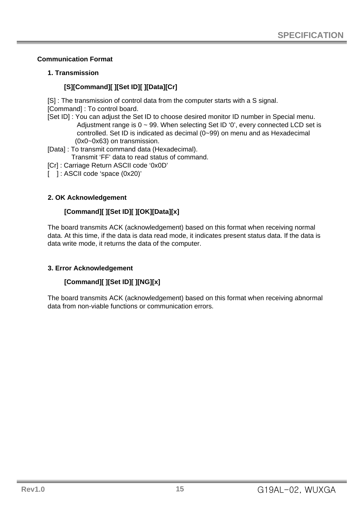#### **Communication Format**

#### **1. Transmission**

## **[S][Command][ ][Set ID][ ][Data][Cr]**

[S] : The transmission of control data from the computer starts with a S signal. [Command] : To control board.

[Set ID] : You can adjust the Set ID to choose desired monitor ID number in Special menu. Adjustment range is  $0 \sim 99$ . When selecting Set ID '0', every connected LCD set is controlled. Set ID is indicated as decimal (0~99) on menu and as Hexadecimal (0x0~0x63) on transmission.

[Data] : To transmit command data (Hexadecimal).

Transmit 'FF' data to read status of command.

[Cr] : Carriage Return ASCII code '0x0D'

[ ] : ASCII code 'space (0x20)'

#### **2. OK Acknowledgement**

#### **[Command][ ][Set ID][ ][OK][Data][x]**

The board transmits ACK (acknowledgement) based on this format when receiving normal data. At this time, if the data is data read mode, it indicates present status data. If the data is data write mode, it returns the data of the computer.

#### **3. Error Acknowledgement**

#### **[Command][ ][Set ID][ ][NG][x]**

The board transmits ACK (acknowledgement) based on this format when receiving abnormal data from non-viable functions or communication errors.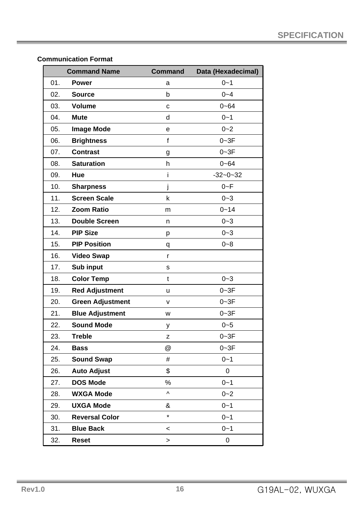#### **Communication Format**

|     | <b>Command Name</b>     | <b>Command</b> | Data (Hexadecimal) |
|-----|-------------------------|----------------|--------------------|
| 01. | <b>Power</b>            | a              | $0 - 1$            |
| 02. | <b>Source</b>           | b              | $0 - 4$            |
| 03. | <b>Volume</b>           | $\mathbf C$    | $0 - 64$           |
| 04. | <b>Mute</b>             | d              | $0 - 1$            |
| 05. | <b>Image Mode</b>       | $\mathbf e$    | $0 - 2$            |
| 06. | <b>Brightness</b>       | $\mathbf{f}$   | $0 - 3F$           |
| 07. | <b>Contrast</b>         | g              | $0 - 3F$           |
| 08. | <b>Saturation</b>       | h              | $0 - 64$           |
| 09. | Hue                     | j.             | $-32 - 0 - 32$     |
| 10. | <b>Sharpness</b>        | j              | $0 - F$            |
| 11. | <b>Screen Scale</b>     | k              | $0 - 3$            |
| 12. | <b>Zoom Ratio</b>       | m              | $0 - 14$           |
| 13. | <b>Double Screen</b>    | n.             | $0 - 3$            |
| 14. | <b>PIP Size</b>         | p              | $0 - 3$            |
| 15. | <b>PIP Position</b>     | q              | $0 - 8$            |
| 16. | <b>Video Swap</b>       | r              |                    |
| 17. | Sub input               | s              |                    |
| 18. | <b>Color Temp</b>       | t              | $0 - 3$            |
| 19. | <b>Red Adjustment</b>   | u              | $0 - 3F$           |
| 20. | <b>Green Adjustment</b> | v              | $0 - 3F$           |
| 21. | <b>Blue Adjustment</b>  | w              | $0 - 3F$           |
| 22. | <b>Sound Mode</b>       | у              | $0 - 5$            |
| 23. | <b>Treble</b>           | z              | $0 - 3F$           |
| 24. | <b>Bass</b>             | @              | $0 - 3F$           |
| 25. | <b>Sound Swap</b>       | #              | $0 - 1$            |
| 26. | <b>Auto Adjust</b>      | \$             | 0                  |
| 27. | <b>DOS Mode</b>         | $\%$           | $0 - 1$            |
| 28. | <b>WXGA Mode</b>        | Λ              | $0 - 2$            |
| 29. | <b>UXGA Mode</b>        | &              | $0 - 1$            |
| 30. | <b>Reversal Color</b>   | $\star$        | $0 - 1$            |
| 31. | <b>Blue Back</b>        | $\,<\,$        | $0 - 1$            |
| 32. | <b>Reset</b>            | $\,>$          | 0                  |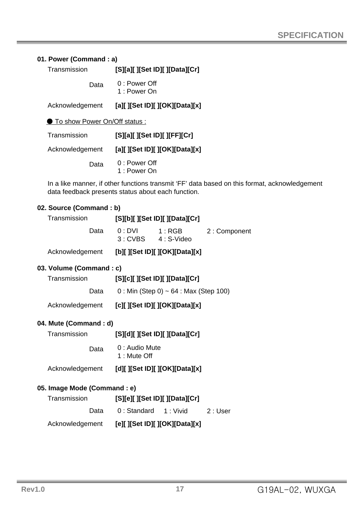#### **01. Power (Command : a)**

| Transmission | [S][a][ ][Set ID][ ][Data][Cr] |
|--------------|--------------------------------|
|--------------|--------------------------------|

0 : Power Off 1 : Power On Data

Acknowledgement **[a][ ][Set ID][ ][OK][Data][x]**

● To show Power On/Off status :

| Transmission    | [S][a][ ][Set ID][ ][FF][Cr]   |  |
|-----------------|--------------------------------|--|
| Acknowledgement | [a][ ][Set ID][ ][OK][Data][x] |  |
| Data            | 0 : Power Off<br>1 : Power On  |  |

In a like manner, if other functions transmit 'FF' data based on this format, acknowledgement data feedback presents status about each function.

#### **02. Source (Command : b)**

| Transmission |                                              |                                      | [S][b][ ][Set ID][ ][Data][Cr]          |              |
|--------------|----------------------------------------------|--------------------------------------|-----------------------------------------|--------------|
|              | Data                                         | $0:DVI$ 1: RGB<br>3: CVBS 4: S-Video |                                         | 2: Component |
|              | Acknowledgement [b][][Set ID][][OK][Data][x] |                                      |                                         |              |
|              | 03. Volume (Command : c)                     |                                      |                                         |              |
|              | Transmission                                 |                                      | [S][c][ ][Set ID][ ][Data][Cr]          |              |
|              | Data                                         |                                      | $0:$ Min (Step 0) ~ 64 : Max (Step 100) |              |
|              | Acknowledgement [c][][Set ID][][OK][Data][x] |                                      |                                         |              |
|              | 04. Mute (Command : d)                       |                                      |                                         |              |
|              | Transmission                                 |                                      | [S][d][ ][Set ID][ ][Data][Cr]          |              |
|              | Data                                         | 0 : Audio Mute<br>1 : Mute Off       |                                         |              |
|              | Acknowledgement [d][][Set ID][][OK][Data][x] |                                      |                                         |              |
|              | 05. Image Mode (Command : e)                 |                                      |                                         |              |
|              | Transmission                                 |                                      | [S][e][ ][Set ID][ ][Data][Cr]          |              |
|              |                                              |                                      | Data 0: Standard 1: Vivid 2: User       |              |
|              |                                              |                                      |                                         |              |

Acknowledgement **[e][ ][Set ID][ ][OK][Data][x]**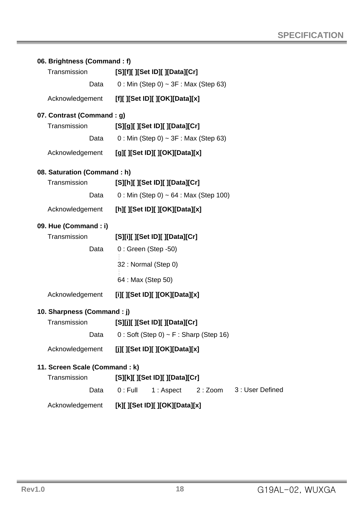| 06. Brightness (Command: f)   |                                                        |  |  |  |
|-------------------------------|--------------------------------------------------------|--|--|--|
| Transmission                  | [S][f][ ][Set ID][ ][Data][Cr]                         |  |  |  |
| Data                          | $0:$ Min (Step 0) ~ 3F : Max (Step 63)                 |  |  |  |
| Acknowledgement               | [f][ ][Set ID][ ][OK][Data][x]                         |  |  |  |
| 07. Contrast (Command: g)     |                                                        |  |  |  |
| Transmission                  | [S][g][ ][Set ID][ ][Data][Cr]                         |  |  |  |
| Data                          | $0:$ Min (Step 0) ~ 3F : Max (Step 63)                 |  |  |  |
| Acknowledgement               | [g][ ][Set ID][ ][OK][Data][x]                         |  |  |  |
| 08. Saturation (Command: h)   |                                                        |  |  |  |
| Transmission                  | [S][h][ ][Set ID][ ][Data][Cr]                         |  |  |  |
| Data                          | $0:$ Min (Step 0) ~ 64 : Max (Step 100)                |  |  |  |
| Acknowledgement               | [h][ ][Set ID][ ][OK][Data][x]                         |  |  |  |
| 09. Hue (Command : i)         |                                                        |  |  |  |
| Transmission                  | [S][i][ ][Set ID][ ][Data][Cr]                         |  |  |  |
| Data                          | $0:$ Green (Step -50)                                  |  |  |  |
|                               | 32 : Normal (Step 0)                                   |  |  |  |
|                               | 64 : Max (Step 50)                                     |  |  |  |
| Acknowledgement               | [i][ ][Set ID][ ][OK][Data][x]                         |  |  |  |
| 10. Sharpness (Command : j)   |                                                        |  |  |  |
| Transmission                  | [S][j][ ][Set ID][ ][Data][Cr]                         |  |  |  |
| Data                          | $0:$ Soft (Step 0) ~ F: Sharp (Step 16)                |  |  |  |
| Acknowledgement               | [j][ ][Set ID][ ][OK][Data][x]                         |  |  |  |
| 11. Screen Scale (Command: k) |                                                        |  |  |  |
| Transmission                  | [S][k][ ][Set ID][ ][Data][Cr]                         |  |  |  |
| Data                          | $0:$ Full<br>3: User Defined<br>1: Aspect<br>$2:$ Zoom |  |  |  |
| Acknowledgement               | [k][ ][Set ID][ ][OK][Data][x]                         |  |  |  |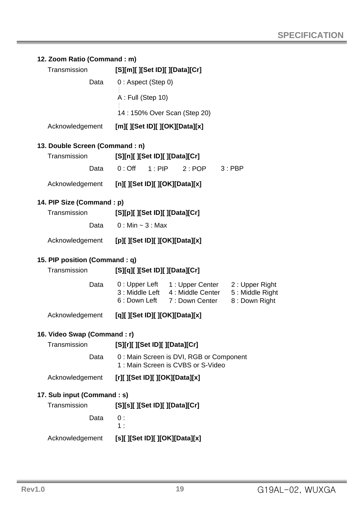#### **12. Zoom Ratio (Command : m)**

| Transmission    | [S][m][ ][Set ID][ ][Data][Cr] |
|-----------------|--------------------------------|
| Data            | $0:$ Aspect (Step 0)           |
|                 | A : Full (Step 10)             |
|                 | 14: 150% Over Scan (Step 20)   |
| Acknowledgement | [m][ ][Set ID][ ][OK][Data][x] |

#### **13. Double Screen (Command : n)**

| Transmission    |      | [S][n][ ][Set ID][ ][Data][Cr] |               |          |
|-----------------|------|--------------------------------|---------------|----------|
|                 | Data | $0:$ Off 1 · PIP               | $2 \cdot POP$ | $3:$ PBP |
| Acknowledgement |      | [n][ ][Set ID][ ][OK][Data][x] |               |          |

#### **14. PIP Size (Command : p)**

| Transmission    | [S][p][ ][Set ID][ ][Data][Cr] |
|-----------------|--------------------------------|
| Data            | $0:$ Min $\sim$ 3 : Max        |
| Acknowledgement | [p][ ][Set ID][ ][OK][Data][x] |

#### **15. PIP position (Command : q)**

| Transmission                | [S][q][ ][Set ID][ ][Data][Cr] |                                                                                                      |                                                    |
|-----------------------------|--------------------------------|------------------------------------------------------------------------------------------------------|----------------------------------------------------|
|                             |                                | Data 0: Upper Left 1: Upper Center<br>3: Middle Left 4: Middle Center<br>6: Down Left 7: Down Center | 2: Upper Right<br>5: Middle Right<br>8: Down Right |
| Acknowledgement             | [q][ ][Set ID][ ][OK][Data][x] |                                                                                                      |                                                    |
| 16. Video Swap (Command: r) |                                |                                                                                                      |                                                    |
| Transmission                | [S][r][ ][Set ID][ ][Data][Cr] |                                                                                                      |                                                    |
| Data                        |                                | 0: Main Screen is DVI, RGB or Component<br>1: Main Screen is CVBS or S-Video                         |                                                    |
| Acknowledgement             | [r][ ][Set ID][ ][OK][Data][x] |                                                                                                      |                                                    |
| 17. Sub input (Command : s) |                                |                                                                                                      |                                                    |
| Transmission                | [S][s][ ][Set ID][ ][Data][Cr] |                                                                                                      |                                                    |
| Data                        | 0:<br>1:                       |                                                                                                      |                                                    |
| Acknowledgement             | [s][ ][Set ID][ ][OK][Data][x] |                                                                                                      |                                                    |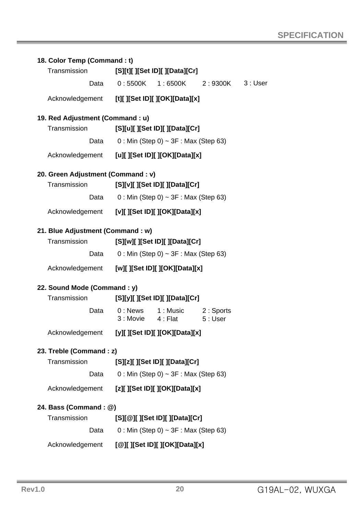| 18. Color Temp (Command : t)                   |                                        |                                                |         |         |
|------------------------------------------------|----------------------------------------|------------------------------------------------|---------|---------|
| Transmission                                   |                                        | [S][t][ ][Set ID][ ][Data][Cr]                 |         |         |
| Data                                           |                                        | $0:5500K$ 1:6500K                              | 2:9300K | 3: User |
| Acknowledgement [t][][Set ID][][OK][Data][x]   |                                        |                                                |         |         |
| 19. Red Adjustment (Command : u)               |                                        |                                                |         |         |
| Transmission                                   |                                        | [S][u][ ][Set ID][ ][Data][Cr]                 |         |         |
| Data                                           |                                        | $0:$ Min (Step 0) ~ 3F : Max (Step 63)         |         |         |
| Acknowledgement [u][][Set ID][][OK][Data][x]   |                                        |                                                |         |         |
| 20. Green Adjustment (Command : v)             |                                        |                                                |         |         |
| Transmission                                   |                                        | [S][v][ ][Set ID][ ][Data][Cr]                 |         |         |
| Data                                           |                                        | $0:$ Min (Step 0) ~ 3F : Max (Step 63)         |         |         |
| Acknowledgement [v][ ][Set ID][ ][OK][Data][x] |                                        |                                                |         |         |
| 21. Blue Adjustment (Command : w)              |                                        |                                                |         |         |
| Transmission                                   |                                        | [S][w][ ][Set ID][ ][Data][Cr]                 |         |         |
| Data                                           |                                        | $0:$ Min (Step 0) ~ 3F : Max (Step 63)         |         |         |
| Acknowledgement [w][][Set ID][][OK][Data][x]   |                                        |                                                |         |         |
| 22. Sound Mode (Command : y)                   |                                        |                                                |         |         |
| Transmission                                   |                                        | [S][y][ ][Set ID][ ][Data][Cr]                 |         |         |
| Data                                           |                                        | 0: News 1: Music 2: Sports<br>3: Movie 4: Flat | 5: User |         |
| Acknowledgement                                |                                        | [y][ ][Set ID][ ][OK][Data][x]                 |         |         |
| 23. Treble (Command : z)                       |                                        |                                                |         |         |
| Transmission                                   | [S][z][ ][Set ID][ ][Data][Cr]         |                                                |         |         |
| Data                                           | $0:$ Min (Step 0) ~ 3F : Max (Step 63) |                                                |         |         |
| Acknowledgement                                |                                        | [z][ ][Set ID][ ][OK][Data][x]                 |         |         |
| 24. Bass (Command : @)                         |                                        |                                                |         |         |
| Transmission                                   | [S][@][ ][Set ID][ ][Data][Cr]         |                                                |         |         |
| Data                                           | $0:$ Min (Step 0) ~ 3F : Max (Step 63) |                                                |         |         |
| Acknowledgement                                |                                        | [@][ ][Set ID][ ][OK][Data][x]                 |         |         |